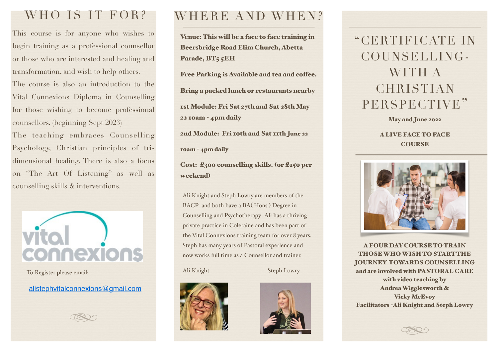## WHO IS IT FOR?

This course is for anyone who wishes to begin training as a professional counsellor or those who are interested and healing and transformation, and wish to help others.

The course is also an introduction to the Vital Connexions Diploma in Counselling for those wishing to become professional counsellors. (beginning Sept 2023)

The teaching embraces Counselling Psychology, Christian principles of tridimensional healing. There is also a focus on "The Art Of Listening" as well as counselling skills & interventions.



To Register please email:

[alistephvitalconnexions@gmail.com](mailto:alistephvitalconnexions@gmail.com)



## WHERE AND WHEN?

Venue: This will be a face to face training in Beersbridge Road Elim Church, Abetta Parade, BT5 5EH

Free Parking is Available and tea and coffee.

Bring a packed lunch or restaurants nearby

1st Module: Fri Sat 27th and Sat 28th May 22 10am - 4pm daily

2nd Module: Fri 10th and Sat 11th June 22

10am - 4pm daily

Cost: £300 counselling skills. (or £150 per weekend)

Ali Knight and Steph Lowry are members of the BACP and both have a BA( Hons ) Degree in Counselling and Psychotherapy. Ali has a thriving private practice in Coleraine and has been part of the Vital Connexions training team for over 8 years. Steph has many years of Pastoral experience and now works full time as a Counsellor and trainer.

Ali Knight Steph Lowry





# "CERTIFICATE IN COUNSELLING-WITH A **CHRISTIAN** PERSPECTIVE"

May and June 2022

A LIVE FACE TO FACE **COURSE** 



A FOUR DAY COURSE TO TRAIN THOSE WHO WISH TO START THE JOURNEY TOWARDS COUNSELLING and are involved with PASTORAL CARE with video teaching by Andrea Wigglesworth & **Vicky McEvoy** Facilitators -Ali Knight and Steph Lowry